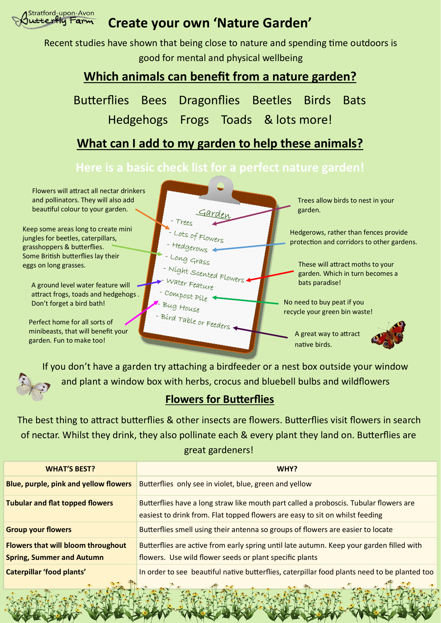

# **Create your own 'Nature Garden'**

Recent studies have shown that being close to nature and spending time outdoors is good for mental and physical wellbeing

## **Which animals can benefit from a nature garden?**

Butterflies Bees Dragonflies Beetles Birds Bats Hedgehogs Frogs Toads & lots more!

## **What can I add to my garden to help these animals?**

## **Here is a basic check list for a perfect nature garden!**

Flowers will attract all nectar drinkers and pollinators. They will also add beautiful colour to your garden.

Keep some areas long to create mini jungles for beetles, caterpillars, grasshoppers & butterflies. Some British butterflies lay their eggs on long grasses.

attract frogs, toads and hedgehogs .

Perfect home for all sorts of minibeasts, that will benefit your garden. Fun to make too!



If you don't have a garden try attaching a birdfeeder or a nest box outside your window and plant a window box with herbs, crocus and bluebell bulbs and wildflowers

## **Flowers for Butterflies**

The best thing to attract butterflies & other insects are flowers. Butterflies visit flowers in search of nectar. Whilst they drink, they also pollinate each & every plant they land on. Butterflies are great gardeners!

| <b>WHAT'S BEST?</b>                                                           | WHY?                                                                                                                                                                  |
|-------------------------------------------------------------------------------|-----------------------------------------------------------------------------------------------------------------------------------------------------------------------|
| <b>Blue, purple, pink and yellow flowers</b>                                  | Butterflies only see in violet, blue, green and yellow                                                                                                                |
| <b>Tubular and flat topped flowers</b>                                        | Butterflies have a long straw like mouth part called a proboscis. Tubular flowers are<br>easiest to drink from. Flat topped flowers are easy to sit on whilst feeding |
| <b>Group your flowers</b>                                                     | Butterflies smell using their antenna so groups of flowers are easier to locate                                                                                       |
| <b>Flowers that will bloom throughout</b><br><b>Spring, Summer and Autumn</b> | Butterflies are active from early spring until late autumn. Keep your garden filled with<br>flowers. Use wild flower seeds or plant specific plants                   |
| <b>Caterpillar 'food plants'</b>                                              | In order to see beautiful native butterflies, caterpillar food plants need to be planted too                                                                          |